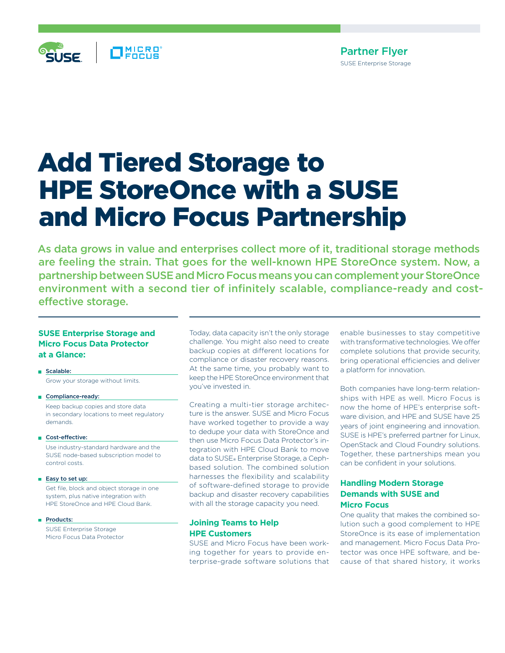

## Partner Flyer SUSE Enterprise Storage

# Add Tiered Storage to HPE StoreOnce with a SUSE and Micro Focus Partnership

As data grows in value and enterprises collect more of it, traditional storage methods are feeling the strain. That goes for the well-known HPE StoreOnce system. Now, a partnership between SUSE and Micro Focus means you can complement your StoreOnce environment with a second tier of infinitely scalable, compliance-ready and costeffective storage.

#### **SUSE Enterprise Storage and Micro Focus Data Protector at a Glance:**

Scalable: Grow your storage without limits.

- Compliance-ready: Keep backup copies and store data in secondary locations to meet regulatory demands.
- Cost-effective:

 Use industry-standard hardware and the SUSE node-based subscription model to control costs.

■ Easy to set up:

 Get file, block and object storage in one system, plus native integration with HPE StoreOnce and HPE Cloud Bank.

Products:

 SUSE Enterprise Storage Micro Focus Data Protector

Today, data capacity isn't the only storage challenge. You might also need to create backup copies at different locations for compliance or disaster recovery reasons. At the same time, you probably want to keep the HPE StoreOnce environment that you've invested in.

Creating a multi-tier storage architecture is the answer. SUSE and Micro Focus have worked together to provide a way to dedupe your data with StoreOnce and then use Micro Focus Data Protector's integration with HPE Cloud Bank to move data to SUSE® Enterprise Storage, a Cephbased solution. The combined solution harnesses the flexibility and scalability of software-defined storage to provide backup and disaster recovery capabilities with all the storage capacity you need.

#### **Joining Teams to Help HPE Customers**

SUSE and Micro Focus have been working together for years to provide enterprise-grade software solutions that enable businesses to stay competitive with transformative technologies. We offer complete solutions that provide security, bring operational efficiencies and deliver a platform for innovation.

Both companies have long-term relationships with HPE as well. Micro Focus is now the home of HPE's enterprise software division, and HPE and SUSE have 25 years of joint engineering and innovation. SUSE is HPE's preferred partner for Linux, OpenStack and Cloud Foundry solutions. Together, these partnerships mean you can be confident in your solutions.

## **Handling Modern Storage Demands with SUSE and Micro Focus**

One quality that makes the combined solution such a good complement to HPE StoreOnce is its ease of implementation and management. Micro Focus Data Protector was once HPE software, and because of that shared history, it works